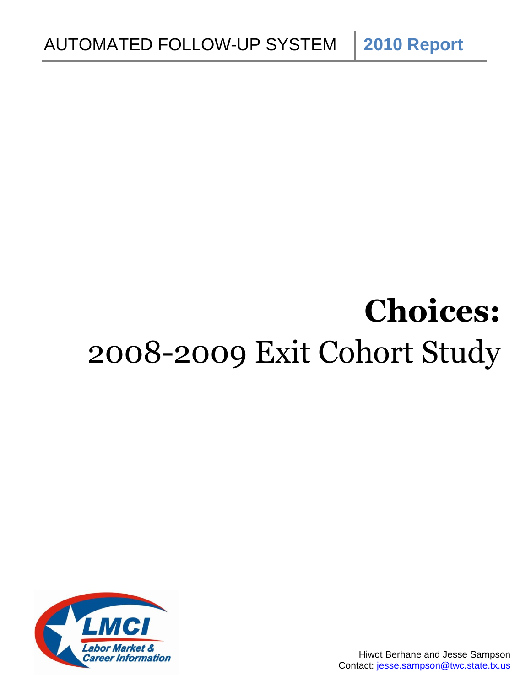# **Choices:** 2008-2009 Exit Cohort Study

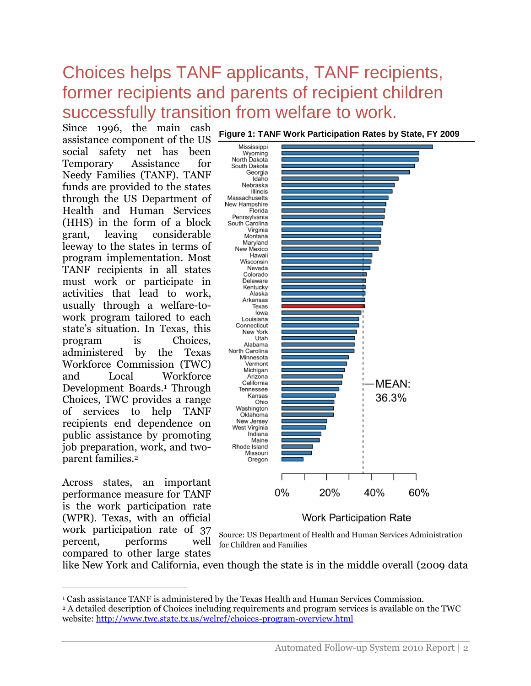# Choices helps TANF applicants, TANF recipients, former recipients and parents of recipient children successfully transition from welfare to work.

Since 1996, the main cash assistance component of the US social safety net has been Temporary Assistance for Needy Families (TANF). TANF funds are provided to the states through the US Department of Health and Human Services (HHS) in the form of a block grant, leaving considerable leeway to the states in terms of program implementation. Most TANF recipients in all states must work or participate in activities that lead to work, usually through a welfare-towork program tailored to each state's situation. In Texas, this program is Choices, administered by the Texas Workforce Commission (TWC) and Local Workforce Development Boards.<sup>1</sup> Through Choices, TWC provides a range of services to help TANF recipients end dependence on public assistance by promoting job preparation, work, and twoparent families.<sup>2</sup>

Across states, an important performance measure for TANF is the work participation rate (WPR). Texas, with an official work participation rate of 37 percent, performs well compared to other large states

 $\overline{a}$ 



**Figure 1: TANF Work Participation Rates by State, FY 2009** 



like New York and California, even though the state is in the middle overall (2009 data

<sup>1</sup> Cash assistance TANF is administered by the Texas Health and Human Services Commission. <sup>2</sup> A detailed description of Choices including requirements and program services is available on the TWC website:<http://www.twc.state.tx.us/welref/choices-program-overview.html>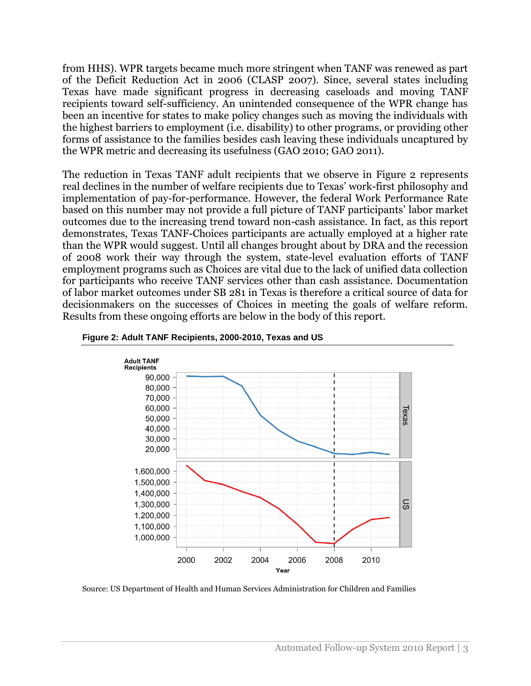from HHS). WPR targets became much more stringent when TANF was renewed as part of the Deficit Reduction Act in 2006 (CLASP 2007). Since, several states including Texas have made significant progress in decreasing caseloads and moving TANF recipients toward self-sufficiency. An unintended consequence of the WPR change has been an incentive for states to make policy changes such as moving the individuals with the highest barriers to employment (i.e. disability) to other programs, or providing other forms of assistance to the families besides cash leaving these individuals uncaptured by the WPR metric and decreasing its usefulness (GAO 2010; GAO 2011).

The reduction in Texas TANF adult recipients that we observe in Figure 2 represents real declines in the number of welfare recipients due to Texas' work-first philosophy and implementation of pay-for-performance. However, the federal Work Performance Rate based on this number may not provide a full picture of TANF participants' labor market outcomes due to the increasing trend toward non-cash assistance. In fact, as this report demonstrates, Texas TANF-Choices participants are actually employed at a higher rate than the WPR would suggest. Until all changes brought about by DRA and the recession of 2008 work their way through the system, state-level evaluation efforts of TANF employment programs such as Choices are vital due to the lack of unified data collection for participants who receive TANF services other than cash assistance. Documentation of labor market outcomes under SB 281 in Texas is therefore a critical source of data for decisionmakers on the successes of Choices in meeting the goals of welfare reform. Results from these ongoing efforts are below in the body of this report.





Source: US Department of Health and Human Services Administration for Children and Families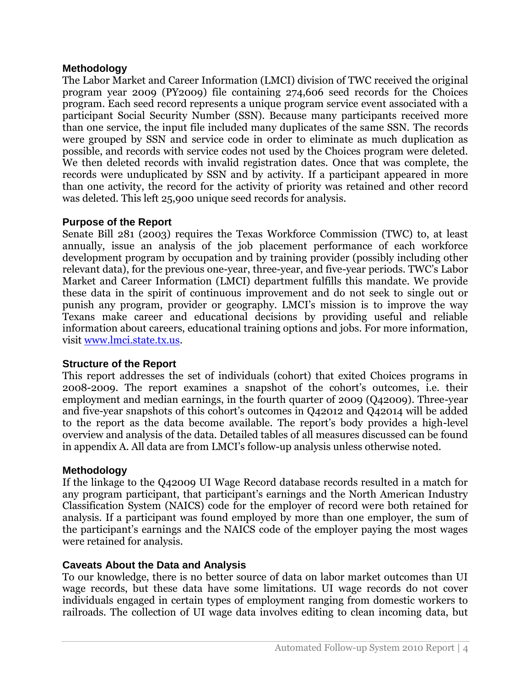# **Methodology**

The Labor Market and Career Information (LMCI) division of TWC received the original program year 2009 (PY2009) file containing 274,606 seed records for the Choices program. Each seed record represents a unique program service event associated with a participant Social Security Number (SSN). Because many participants received more than one service, the input file included many duplicates of the same SSN. The records were grouped by SSN and service code in order to eliminate as much duplication as possible, and records with service codes not used by the Choices program were deleted. We then deleted records with invalid registration dates. Once that was complete, the records were unduplicated by SSN and by activity. If a participant appeared in more than one activity, the record for the activity of priority was retained and other record was deleted. This left 25,900 unique seed records for analysis.

# **Purpose of the Report**

Senate Bill 281 (2003) requires the Texas Workforce Commission (TWC) to, at least annually, issue an analysis of the job placement performance of each workforce development program by occupation and by training provider (possibly including other relevant data), for the previous one-year, three-year, and five-year periods. TWC's Labor Market and Career Information (LMCI) department fulfills this mandate. We provide these data in the spirit of continuous improvement and do not seek to single out or punish any program, provider or geography. LMCI's mission is to improve the way Texans make career and educational decisions by providing useful and reliable information about careers, educational training options and jobs. For more information, visit [www.lmci.state.tx.us.](http://www.lmci.state.tx.us/)

# **Structure of the Report**

This report addresses the set of individuals (cohort) that exited Choices programs in 2008-2009. The report examines a snapshot of the cohort's outcomes, i.e. their employment and median earnings, in the fourth quarter of 2009 (Q42009). Three-year and five-year snapshots of this cohort's outcomes in Q42012 and Q42014 will be added to the report as the data become available. The report's body provides a high-level overview and analysis of the data. Detailed tables of all measures discussed can be found in appendix A. All data are from LMCI's follow-up analysis unless otherwise noted.

# **Methodology**

If the linkage to the Q42009 UI Wage Record database records resulted in a match for any program participant, that participant's earnings and the North American Industry Classification System (NAICS) code for the employer of record were both retained for analysis. If a participant was found employed by more than one employer, the sum of the participant's earnings and the NAICS code of the employer paying the most wages were retained for analysis.

# **Caveats About the Data and Analysis**

To our knowledge, there is no better source of data on labor market outcomes than UI wage records, but these data have some limitations. UI wage records do not cover individuals engaged in certain types of employment ranging from domestic workers to railroads. The collection of UI wage data involves editing to clean incoming data, but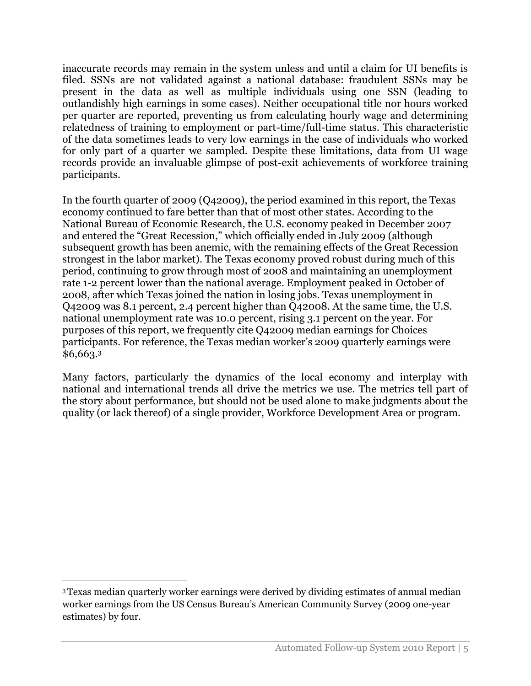inaccurate records may remain in the system unless and until a claim for UI benefits is filed. SSNs are not validated against a national database: fraudulent SSNs may be present in the data as well as multiple individuals using one SSN (leading to outlandishly high earnings in some cases). Neither occupational title nor hours worked per quarter are reported, preventing us from calculating hourly wage and determining relatedness of training to employment or part-time/full-time status. This characteristic of the data sometimes leads to very low earnings in the case of individuals who worked for only part of a quarter we sampled. Despite these limitations, data from UI wage records provide an invaluable glimpse of post-exit achievements of workforce training participants.

In the fourth quarter of 2009 (Q42009), the period examined in this report, the Texas economy continued to fare better than that of most other states. According to the National Bureau of Economic Research, the U.S. economy peaked in December 2007 and entered the "Great Recession," which officially ended in July 2009 (although subsequent growth has been anemic, with the remaining effects of the Great Recession strongest in the labor market). The Texas economy proved robust during much of this period, continuing to grow through most of 2008 and maintaining an unemployment rate 1-2 percent lower than the national average. Employment peaked in October of 2008, after which Texas joined the nation in losing jobs. Texas unemployment in Q42009 was 8.1 percent, 2.4 percent higher than Q42008. At the same time, the U.S. national unemployment rate was 10.0 percent, rising 3.1 percent on the year. For purposes of this report, we frequently cite Q42009 median earnings for Choices participants. For reference, the Texas median worker's 2009 quarterly earnings were \$6,663.<sup>3</sup>

Many factors, particularly the dynamics of the local economy and interplay with national and international trends all drive the metrics we use. The metrics tell part of the story about performance, but should not be used alone to make judgments about the quality (or lack thereof) of a single provider, Workforce Development Area or program.

 $\overline{a}$ 

<sup>3</sup>Texas median quarterly worker earnings were derived by dividing estimates of annual median worker earnings from the US Census Bureau's American Community Survey (2009 one-year estimates) by four.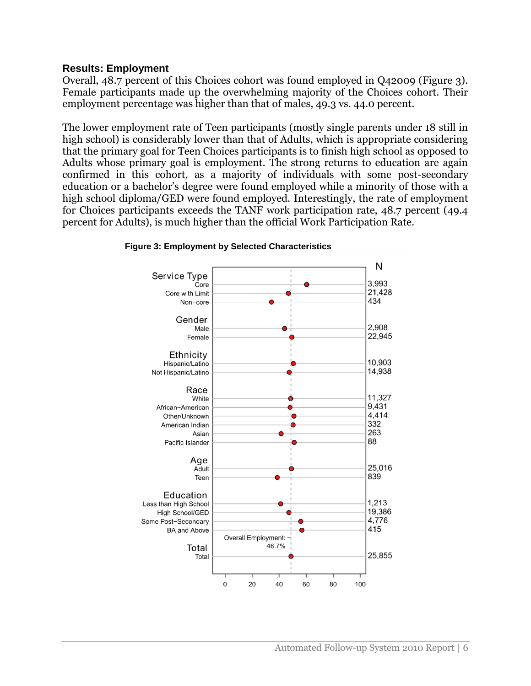# **Results: Employment**

Overall, 48.7 percent of this Choices cohort was found employed in Q42009 (Figure 3). Female participants made up the overwhelming majority of the Choices cohort. Their employment percentage was higher than that of males, 49.3 vs. 44.0 percent.

The lower employment rate of Teen participants (mostly single parents under 18 still in high school) is considerably lower than that of Adults, which is appropriate considering that the primary goal for Teen Choices participants is to finish high school as opposed to Adults whose primary goal is employment. The strong returns to education are again confirmed in this cohort, as a majority of individuals with some post-secondary education or a bachelor's degree were found employed while a minority of those with a high school diploma/GED were found employed. Interestingly, the rate of employment for Choices participants exceeds the TANF work participation rate, 48.7 percent (49.4 percent for Adults), is much higher than the official Work Participation Rate.



**Figure 3: Employment by Selected Characteristics**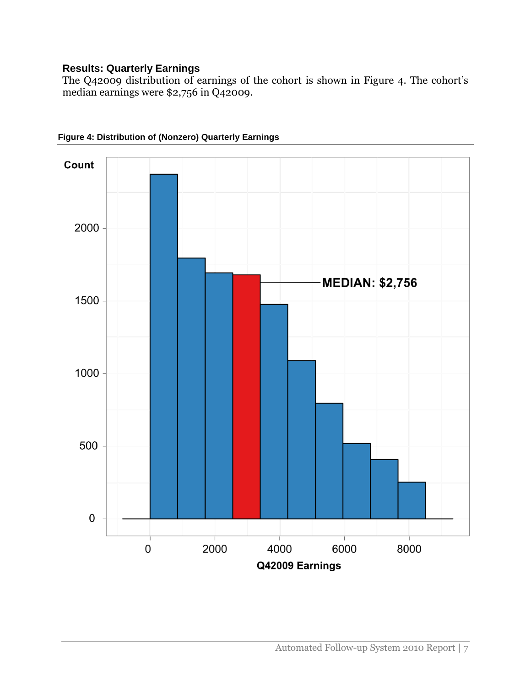# **Results: Quarterly Earnings**

The Q42009 distribution of earnings of the cohort is shown in Figure 4. The cohort's median earnings were \$2,756 in Q42009.



**Figure 4: Distribution of (Nonzero) Quarterly Earnings**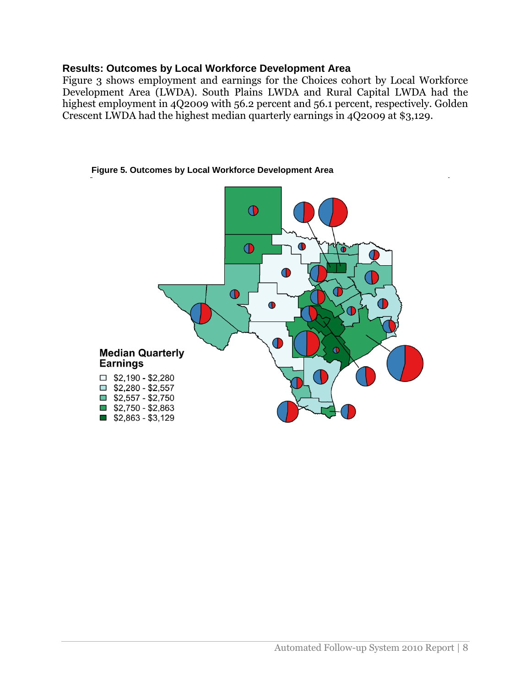# **Results: Outcomes by Local Workforce Development Area**

Figure 3 shows employment and earnings for the Choices cohort by Local Workforce Development Area (LWDA). South Plains LWDA and Rural Capital LWDA had the highest employment in 4Q2009 with 56.2 percent and 56.1 percent, respectively. Golden Crescent LWDA had the highest median quarterly earnings in 4Q2009 at \$3,129.

#### **Figure 5. Outcomes by Local Workforce Development Area**

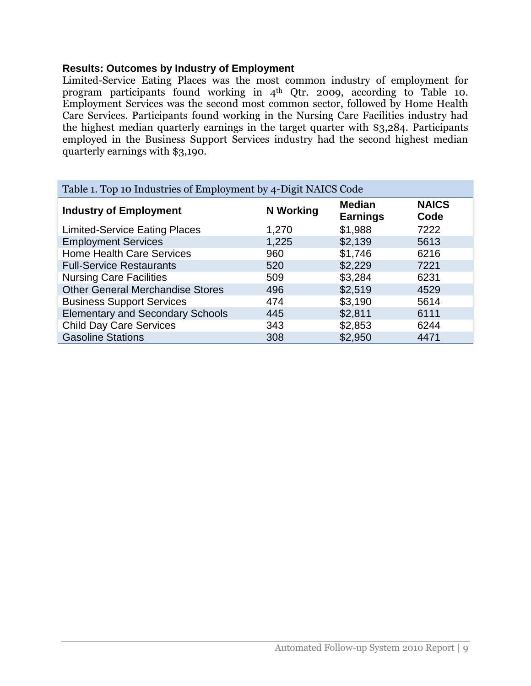# **Results: Outcomes by Industry of Employment**

Limited-Service Eating Places was the most common industry of employment for program participants found working in 4<sup>th</sup> Qtr. 2009, according to Table 10. Employment Services was the second most common sector, followed by Home Health Care Services. Participants found working in the Nursing Care Facilities industry had the highest median quarterly earnings in the target quarter with \$3,284. Participants employed in the Business Support Services industry had the second highest median quarterly earnings with \$3,190.

| Table 1. Top 10 Industries of Employment by 4-Digit NAICS Code |                  |                                  |                      |  |  |
|----------------------------------------------------------------|------------------|----------------------------------|----------------------|--|--|
| <b>Industry of Employment</b>                                  | <b>N</b> Working | <b>Median</b><br><b>Earnings</b> | <b>NAICS</b><br>Code |  |  |
| <b>Limited-Service Eating Places</b>                           | 1,270            | \$1,988                          | 7222                 |  |  |
| <b>Employment Services</b>                                     | 1,225            | \$2,139                          | 5613                 |  |  |
| <b>Home Health Care Services</b>                               | 960              | \$1,746                          | 6216                 |  |  |
| <b>Full-Service Restaurants</b>                                | 520              | \$2,229                          | 7221                 |  |  |
| <b>Nursing Care Facilities</b>                                 | 509              | \$3,284                          | 6231                 |  |  |
| <b>Other General Merchandise Stores</b>                        | 496              | \$2,519                          | 4529                 |  |  |
| <b>Business Support Services</b>                               | 474              | \$3,190                          | 5614                 |  |  |
| <b>Elementary and Secondary Schools</b>                        | 445              | \$2,811                          | 6111                 |  |  |
| <b>Child Day Care Services</b>                                 | 343              | \$2,853                          | 6244                 |  |  |
| <b>Gasoline Stations</b>                                       | 308              | \$2,950                          | 4471                 |  |  |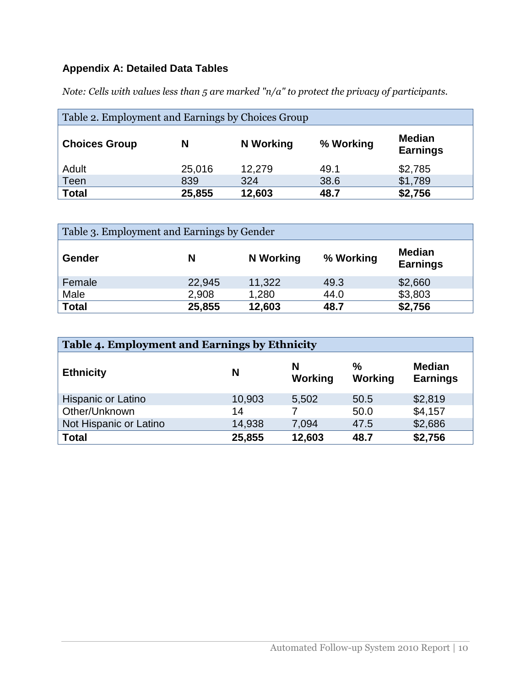# **Appendix A: Detailed Data Tables**

*Note: Cells with values less than 5 are marked "n/a" to protect the privacy of participants.*

| Table 2. Employment and Earnings by Choices Group |        |           |           |                                  |  |  |
|---------------------------------------------------|--------|-----------|-----------|----------------------------------|--|--|
| <b>Choices Group</b>                              | N      | N Working | % Working | <b>Median</b><br><b>Earnings</b> |  |  |
| Adult                                             | 25,016 | 12,279    | 49.1      | \$2,785                          |  |  |
| Teen                                              | 839    | 324       | 38.6      | \$1,789                          |  |  |
| <b>Total</b>                                      | 25,855 | 12,603    | 48.7      | \$2,756                          |  |  |

| Table 3. Employment and Earnings by Gender |        |                  |           |                                  |  |  |
|--------------------------------------------|--------|------------------|-----------|----------------------------------|--|--|
| Gender                                     | N      | <b>N</b> Working | % Working | <b>Median</b><br><b>Earnings</b> |  |  |
| Female                                     | 22,945 | 11,322           | 49.3      | \$2,660                          |  |  |
| Male                                       | 2,908  | 1,280            | 44.0      | \$3,803                          |  |  |
| <b>Total</b>                               | 25,855 | 12,603           | 48.7      | \$2,756                          |  |  |

| Table 4. Employment and Earnings by Ethnicity |        |              |              |                                  |  |  |
|-----------------------------------------------|--------|--------------|--------------|----------------------------------|--|--|
| <b>Ethnicity</b>                              | N      | N<br>Working | ℅<br>Working | <b>Median</b><br><b>Earnings</b> |  |  |
| Hispanic or Latino                            | 10,903 | 5,502        | 50.5         | \$2,819                          |  |  |
| Other/Unknown                                 | 14     |              | 50.0         | \$4,157                          |  |  |
| Not Hispanic or Latino                        | 14,938 | 7,094        | 47.5         | \$2,686                          |  |  |
| <b>Total</b>                                  | 25,855 | 12,603       | 48.7         | \$2,756                          |  |  |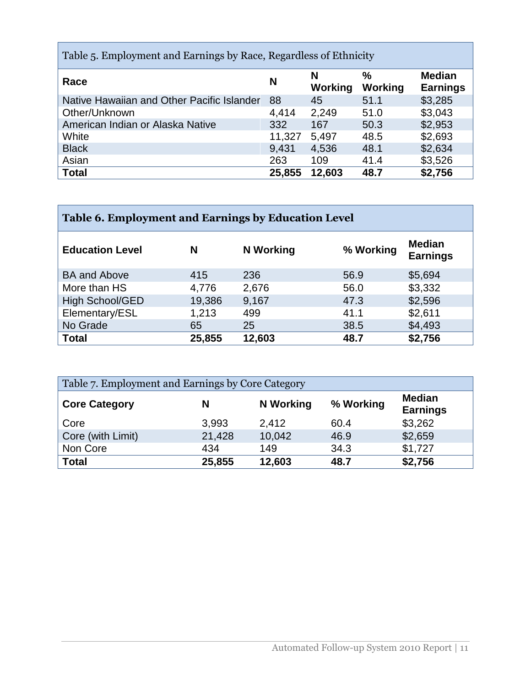| Table 5. Employment and Earnings by Race, Regardless of Ethnicity |        |              |                          |                                  |  |  |
|-------------------------------------------------------------------|--------|--------------|--------------------------|----------------------------------|--|--|
| Race                                                              | N      | N<br>Working | $\frac{0}{0}$<br>Working | <b>Median</b><br><b>Earnings</b> |  |  |
| Native Hawaiian and Other Pacific Islander                        | 88     | 45           | 51.1                     | \$3,285                          |  |  |
| Other/Unknown                                                     | 4,414  | 2,249        | 51.0                     | \$3,043                          |  |  |
| American Indian or Alaska Native                                  | 332    | 167          | 50.3                     | \$2,953                          |  |  |
| White                                                             | 11,327 | 5,497        | 48.5                     | \$2,693                          |  |  |
| <b>Black</b>                                                      | 9,431  | 4,536        | 48.1                     | \$2,634                          |  |  |
| Asian                                                             | 263    | 109          | 41.4                     | \$3,526                          |  |  |
| <b>Total</b>                                                      | 25,855 | 12,603       | 48.7                     | \$2,756                          |  |  |

| Table 6. Employment and Earnings by Education Level |
|-----------------------------------------------------|
|-----------------------------------------------------|

| <b>Education Level</b> | N      | N Working | % Working | <b>Median</b><br><b>Earnings</b> |
|------------------------|--------|-----------|-----------|----------------------------------|
| <b>BA and Above</b>    | 415    | 236       | 56.9      | \$5,694                          |
| More than HS           | 4,776  | 2,676     | 56.0      | \$3,332                          |
| <b>High School/GED</b> | 19,386 | 9,167     | 47.3      | \$2,596                          |
| Elementary/ESL         | 1,213  | 499       | 41.1      | \$2,611                          |
| No Grade               | 65     | 25        | 38.5      | \$4,493                          |
| <b>Total</b>           | 25,855 | 12,603    | 48.7      | \$2,756                          |

| Table 7. Employment and Earnings by Core Category |        |                  |           |                                  |  |  |
|---------------------------------------------------|--------|------------------|-----------|----------------------------------|--|--|
| <b>Core Category</b>                              | N      | <b>N</b> Working | % Working | <b>Median</b><br><b>Earnings</b> |  |  |
| Core                                              | 3,993  | 2,412            | 60.4      | \$3,262                          |  |  |
| Core (with Limit)                                 | 21,428 | 10,042           | 46.9      | \$2,659                          |  |  |
| Non Core                                          | 434    | 149              | 34.3      | \$1,727                          |  |  |
| <b>Total</b>                                      | 25,855 | 12,603           | 48.7      | \$2,756                          |  |  |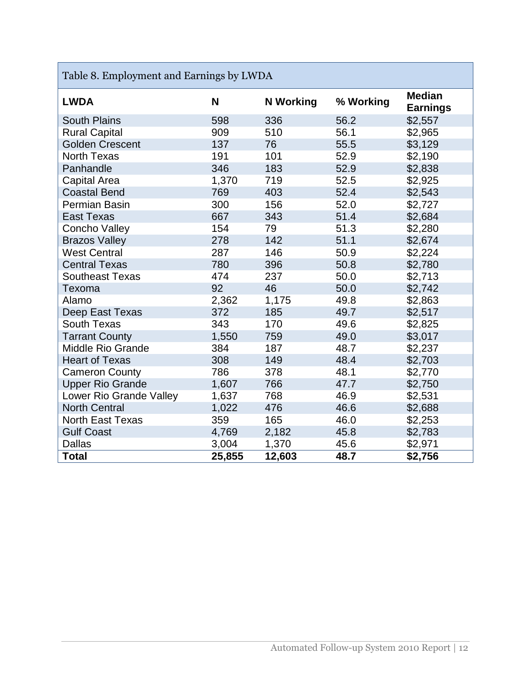| Table 8. Employment and Earnings by LWDA |        |                  |           |                                  |  |
|------------------------------------------|--------|------------------|-----------|----------------------------------|--|
| <b>LWDA</b>                              | N      | <b>N</b> Working | % Working | <b>Median</b><br><b>Earnings</b> |  |
| <b>South Plains</b>                      | 598    | 336              | 56.2      | \$2,557                          |  |
| <b>Rural Capital</b>                     | 909    | 510              | 56.1      | \$2,965                          |  |
| <b>Golden Crescent</b>                   | 137    | 76               | 55.5      | \$3,129                          |  |
| <b>North Texas</b>                       | 191    | 101              | 52.9      | \$2,190                          |  |
| Panhandle                                | 346    | 183              | 52.9      | \$2,838                          |  |
| <b>Capital Area</b>                      | 1,370  | 719              | 52.5      | \$2,925                          |  |
| <b>Coastal Bend</b>                      | 769    | 403              | 52.4      | \$2,543                          |  |
| Permian Basin                            | 300    | 156              | 52.0      | \$2,727                          |  |
| <b>East Texas</b>                        | 667    | 343              | 51.4      | \$2,684                          |  |
| <b>Concho Valley</b>                     | 154    | 79               | 51.3      | \$2,280                          |  |
| <b>Brazos Valley</b>                     | 278    | 142              | 51.1      | \$2,674                          |  |
| <b>West Central</b>                      | 287    | 146              | 50.9      | \$2,224                          |  |
| <b>Central Texas</b>                     | 780    | 396              | 50.8      | \$2,780                          |  |
| <b>Southeast Texas</b>                   | 474    | 237              | 50.0      | \$2,713                          |  |
| Texoma                                   | 92     | 46               | 50.0      | \$2,742                          |  |
| Alamo                                    | 2,362  | 1,175            | 49.8      | \$2,863                          |  |
| Deep East Texas                          | 372    | 185              | 49.7      | \$2,517                          |  |
| <b>South Texas</b>                       | 343    | 170              | 49.6      | \$2,825                          |  |
| <b>Tarrant County</b>                    | 1,550  | 759              | 49.0      | \$3,017                          |  |
| <b>Middle Rio Grande</b>                 | 384    | 187              | 48.7      | \$2,237                          |  |
| <b>Heart of Texas</b>                    | 308    | 149              | 48.4      | \$2,703                          |  |
| <b>Cameron County</b>                    | 786    | 378              | 48.1      | \$2,770                          |  |
| <b>Upper Rio Grande</b>                  | 1,607  | 766              | 47.7      | \$2,750                          |  |
| Lower Rio Grande Valley                  | 1,637  | 768              | 46.9      | \$2,531                          |  |
| <b>North Central</b>                     | 1,022  | 476              | 46.6      | \$2,688                          |  |
| <b>North East Texas</b>                  | 359    | 165              | 46.0      | \$2,253                          |  |
| <b>Gulf Coast</b>                        | 4,769  | 2,182            | 45.8      | \$2,783                          |  |
| Dallas                                   | 3,004  | 1,370            | 45.6      | \$2,971                          |  |
| <b>Total</b>                             | 25,855 | 12,603           | 48.7      | \$2,756                          |  |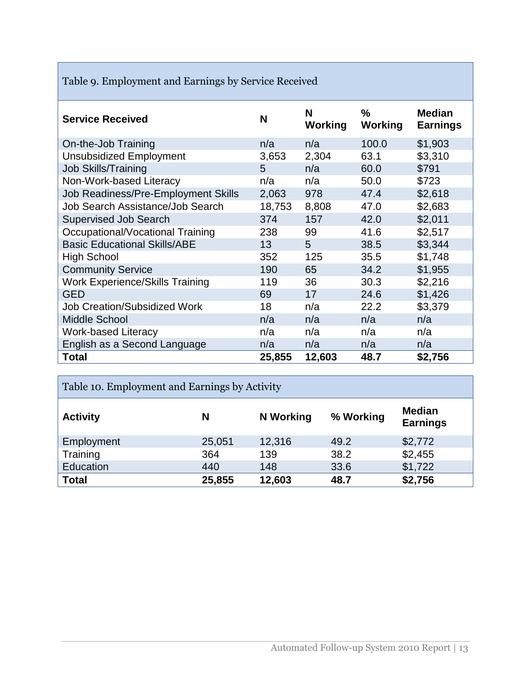|  | Table 9. Employment and Earnings by Service Received |  |  |
|--|------------------------------------------------------|--|--|
|  |                                                      |  |  |
|  |                                                      |  |  |

| <b>Service Received</b>                | N      | N<br><b>Working</b> | ℅<br><b>Working</b> | <b>Median</b><br><b>Earnings</b> |
|----------------------------------------|--------|---------------------|---------------------|----------------------------------|
| On-the-Job Training                    | n/a    | n/a                 | 100.0               | \$1,903                          |
| <b>Unsubsidized Employment</b>         | 3,653  | 2,304               | 63.1                | \$3,310                          |
| <b>Job Skills/Training</b>             | 5      | n/a                 | 60.0                | \$791                            |
| Non-Work-based Literacy                | n/a    | n/a                 | 50.0                | \$723                            |
| Job Readiness/Pre-Employment Skills    | 2,063  | 978                 | 47.4                | \$2,618                          |
| Job Search Assistance/Job Search       | 18,753 | 8,808               | 47.0                | \$2,683                          |
| <b>Supervised Job Search</b>           | 374    | 157                 | 42.0                | \$2,011                          |
| Occupational/Vocational Training       | 238    | 99                  | 41.6                | \$2,517                          |
| <b>Basic Educational Skills/ABE</b>    | 13     | 5                   | 38.5                | \$3,344                          |
| <b>High School</b>                     | 352    | 125                 | 35.5                | \$1,748                          |
| <b>Community Service</b>               | 190    | 65                  | 34.2                | \$1,955                          |
| <b>Work Experience/Skills Training</b> | 119    | 36                  | 30.3                | \$2,216                          |
| <b>GED</b>                             | 69     | 17                  | 24.6                | \$1,426                          |
| <b>Job Creation/Subsidized Work</b>    | 18     | n/a                 | 22.2                | \$3,379                          |
| Middle School                          | n/a    | n/a                 | n/a                 | n/a                              |
| <b>Work-based Literacy</b>             | n/a    | n/a                 | n/a                 | n/a                              |
| English as a Second Language           | n/a    | n/a                 | n/a                 | n/a                              |
| Total                                  | 25,855 | 12,603              | 48.7                | \$2,756                          |

| Table 10. Employment and Earnings by Activity |        |                  |           |                                  |  |
|-----------------------------------------------|--------|------------------|-----------|----------------------------------|--|
| <b>Activity</b>                               | N      | <b>N</b> Working | % Working | <b>Median</b><br><b>Earnings</b> |  |
| Employment                                    | 25,051 | 12,316           | 49.2      | \$2,772                          |  |
| Training                                      | 364    | 139              | 38.2      | \$2,455                          |  |
| Education                                     | 440    | 148              | 33.6      | \$1,722                          |  |
| <b>Total</b>                                  | 25,855 | 12,603           | 48.7      | \$2,756                          |  |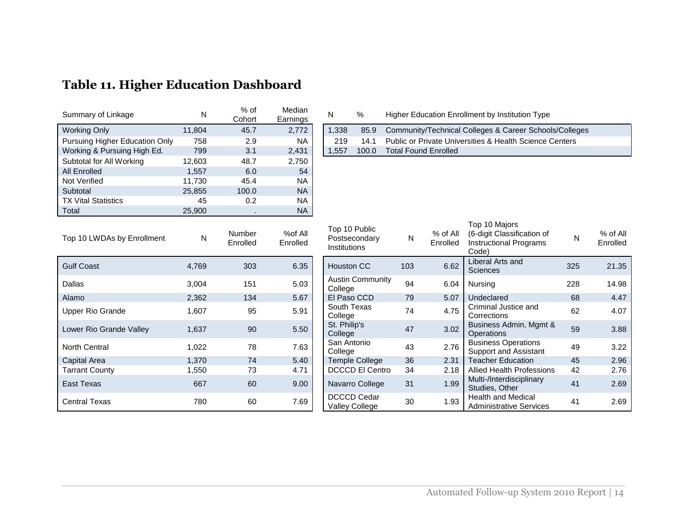| Summary of Linkage             | N      | $%$ of<br>Cohort | Median<br>Earnings |
|--------------------------------|--------|------------------|--------------------|
| <b>Working Only</b>            | 11,804 | 45.7             | 2,772              |
| Pursuing Higher Education Only | 758    | 2.9              | NA.                |
| Working & Pursuing High Ed.    | 799    | 3.1              | 2,431              |
| Subtotal for All Working       | 12,603 | 48.7             | 2,750              |
| <b>All Enrolled</b>            | 1,557  | 6.0              | 54                 |
| <b>Not Verified</b>            | 11,730 | 45.4             | <b>NA</b>          |
| Subtotal                       | 25,855 | 100.0            | <b>NA</b>          |
| <b>TX Vital Statistics</b>     | 45     | 0.2              | <b>NA</b>          |
| Total                          | 25,900 |                  | <b>NA</b>          |

#### N % Higher Education Enrollment by Institution Type 1,338 85.9 Community/Technical Colleges & Career Schools/Colleges 219 14.1 Public or Private Universities & Health Science Centers<br>1,557 100.0 Total Found Enrolled Total Found Enrolled

| Top 10 LWDAs by Enrollment | N     | Number<br>Enrolled | %of All<br>Enrolled | TOD TO PUDIIC<br>Postsecondary<br>Institutions | N   | % of All<br>Enrolled | (6-digit Classification c<br><b>Instructional Programs</b><br>Code) |  |
|----------------------------|-------|--------------------|---------------------|------------------------------------------------|-----|----------------------|---------------------------------------------------------------------|--|
| <b>Gulf Coast</b>          | 4,769 | 303                | 6.35                | <b>Houston CC</b>                              | 103 | 6.62                 | Liberal Arts and<br>Sciences                                        |  |
| Dallas                     | 3,004 | 151                | 5.03                | <b>Austin Community</b><br>College             | 94  | 6.04                 | Nursing                                                             |  |
| Alamo                      | 2,362 | 134                | 5.67                | El Paso CCD                                    | 79  | 5.07                 | Undeclared                                                          |  |
| Upper Rio Grande           | 1,607 | 95                 | 5.91                | South Texas<br>College                         | 74  | 4.75                 | Criminal Justice and<br>Corrections                                 |  |
| Lower Rio Grande Valley    | 1,637 | 90                 | 5.50                | St. Philip's<br>College                        | 47  | 3.02                 | Business Admin, Mgm<br><b>Operations</b>                            |  |
| <b>North Central</b>       | 1,022 | 78                 | 7.63                | San Antonio<br>College                         | 43  | 2.76                 | <b>Business Operations</b><br><b>Support and Assistant</b>          |  |
| Capital Area               | 1,370 | 74                 | 5.40                | Temple College                                 | 36  | 2.31                 | <b>Teacher Education</b>                                            |  |
| <b>Tarrant County</b>      | 1,550 | 73                 | 4.71                | <b>DCCCD El Centro</b>                         | 34  | 2.18                 | <b>Allied Health Professic</b>                                      |  |
| East Texas                 | 667   | 60                 | 9.00                | Navarro College                                | 31  | 1.99                 | Multi-/Interdisciplinary<br>Studies, Other                          |  |
| <b>Central Texas</b>       | 780   | 60                 | 7.69                | <b>DCCCD Cedar</b><br>Valley College           | 30  | 1.93                 | <b>Health and Medical</b><br><b>Administrative Service</b>          |  |

| Top 10 LWDAs by Enrollment | ${\sf N}$ | Number<br>Enrolled | %of All<br>Enrolled | Top 10 Public<br>Postsecondary<br><b>Institutions</b> | N   | $%$ of All<br>Enrolled | Top 10 Majors<br>(6-digit Classification of<br><b>Instructional Programs</b><br>Code) | N   | % of All<br>Enrolled |
|----------------------------|-----------|--------------------|---------------------|-------------------------------------------------------|-----|------------------------|---------------------------------------------------------------------------------------|-----|----------------------|
| <b>Gulf Coast</b>          | 4,769     | 303                | 6.35                | <b>Houston CC</b>                                     | 103 | 6.62                   | Liberal Arts and<br><b>Sciences</b>                                                   | 325 | 21.35                |
| Dallas                     | 3,004     | 151                | 5.03                | <b>Austin Community</b><br>College                    | 94  | 6.04                   | Nursing                                                                               | 228 | 14.98                |
| Alamo                      | 2,362     | 134                | 5.67                | El Paso CCD                                           | 79  | 5.07                   | Undeclared                                                                            | 68  | 4.47                 |
| Upper Rio Grande           | 1,607     | 95                 | 5.91                | South Texas<br>College                                | 74  | 4.75                   | Criminal Justice and<br>Corrections                                                   | 62  | 4.07                 |
| Lower Rio Grande Valley    | 1,637     | 90                 | 5.50                | St. Philip's<br>College                               | 47  | 3.02                   | Business Admin, Mgmt &<br><b>Operations</b>                                           | 59  | 3.88                 |
| North Central              | 1,022     | 78                 | 7.63                | San Antonio<br>College                                | 43  | 2.76                   | <b>Business Operations</b><br><b>Support and Assistant</b>                            | 49  | 3.22                 |
| Capital Area               | 1,370     | 74                 | 5.40                | <b>Temple College</b>                                 | 36  | 2.31                   | <b>Teacher Education</b>                                                              | 45  | 2.96                 |
| Tarrant County             | 550. ا    | 73                 | 4.71                | <b>DCCCD El Centro</b>                                | 34  | 2.18                   | <b>Allied Health Professions</b>                                                      | 42  | 2.76                 |
| East Texas                 | 667       | 60                 | 9.00                | Navarro College                                       | 31  | 1.99                   | Multi-/Interdisciplinary<br>Studies, Other                                            | 41  | 2.69                 |
| Central Texas              | 780       | 60                 | 7.69                | DCCCD Cedar<br><b>Valley College</b>                  | 30  | 1.93                   | <b>Health and Medical</b><br><b>Administrative Services</b>                           | 41  | 2.69                 |